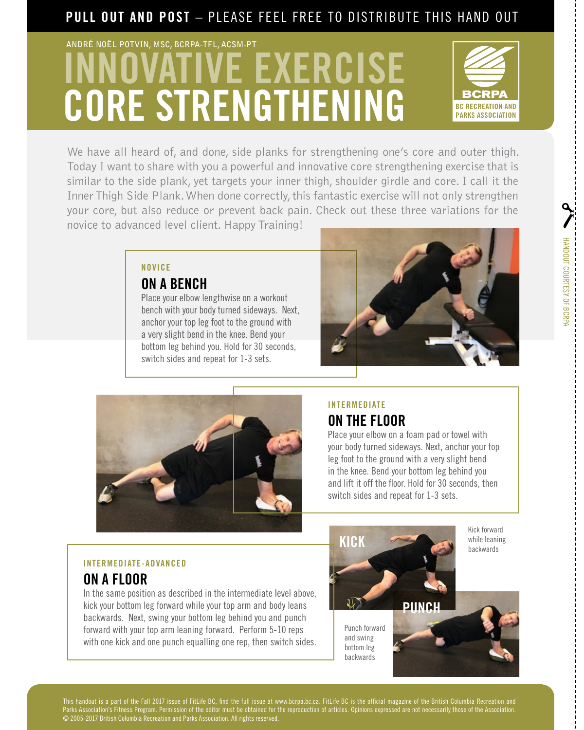## PULL OUT AND POST - PLEASE FEEL FREE TO DISTRIBUTE THIS HAND OUT

# VE EXERCISE CORE STRENGTHENING **ANDRÉ NOËL POTVIN, MSC, BCRPA-TFL, ACSM-PT**



HANDOUT COURTESY OF BCRPA

HANDOUT COURTESY OF BCRPA

We have all heard of, and done, side planks for strengthening one's core and outer thigh. Today I want to share with you a powerful and innovative core strengthening exercise that is similar to the side plank, yet targets your inner thigh, shoulder girdle and core. I call it the Inner Thigh Side Plank. When done correctly, this fantastic exercise will not only strengthen your core, but also reduce or prevent back pain. Check out these three variations for the novice to advanced level client. Happy Training!

#### NOVICE

#### ON A BENCH

Place your elbow lengthwise on a workout bench with your body turned sideways. Next, anchor your top leg foot to the ground with a very slight bend in the knee. Bend your bottom leg behind you. Hold for 30 seconds, switch sides and repeat for 1-3 sets.





#### INTERMEDIATE ON THE FLOOR

Place your elbow on a foam pad or towel with your body turned sideways. Next, anchor your top leg foot to the ground with a very slight bend in the knee. Bend your bottom leg behind you and lift it off the floor. Hold for 30 seconds, then switch sides and repeat for 1-3 sets.

#### INTERMEDIATE-ADVANCED

## ON A FLOOR

In the same position as described in the intermediate level above, kick your bottom leg forward while your top arm and body leans backwards. Next, swing your bottom leg behind you and punch forward with your top arm leaning forward. Perform 5-10 reps with one kick and one punch equalling one rep, then switch sides.



Kick forward while leaning backwards

This handout is a part of the Fall 2017 issue of FitLife BC, find the full issue at www.bcrpa.bc.ca. FitLife BC is the official magazine of the British Columbia Recreation and<br>Parks Association's Fitness Program. Permissio Parks Association's Fitness Program. Permission of the editor must be obtained for the reproduction of articles. Opinions expressed are not necessarily those of the Association. © 2005-2017 British Columbia Recreation and Parks Association. All rights reserved.